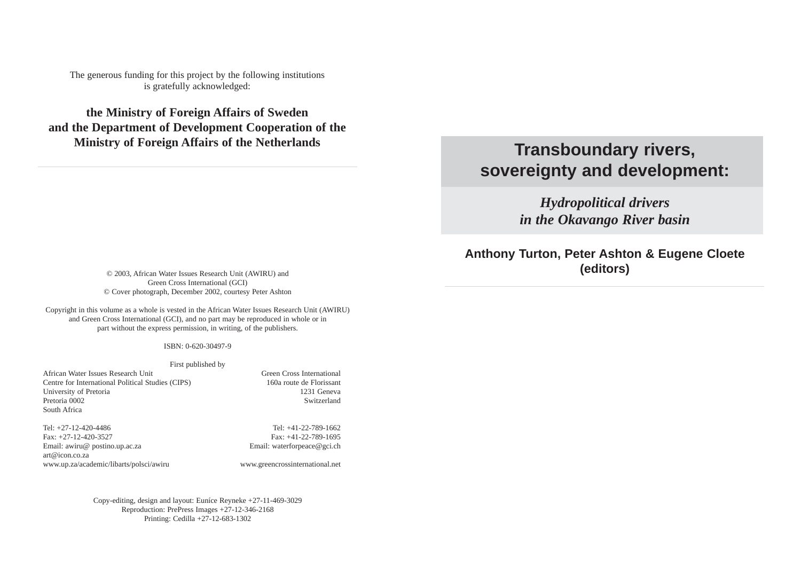The generous funding for this project by the following institutions is gratefully acknowledged:

**the Ministry of Foreign Affairs of Sweden and the Department of Development Cooperation of the Ministry of Foreign Affairs of the Netherlands**

# **Transboundary rivers, sovereignty and development:**

*Hydropolitical drivers in the Okavango River basin*

**Anthony Turton, Peter Ashton & Eugene Cloete (editors)** © 2003, African Water Issues Research Unit (AWIRU) and

Green Cross International (GCI) © Cover photograph, December 2002, courtesy Peter Ashton

Copyright in this volume as a whole is vested in the African Water Issues Research Unit (AWIRU) and Green Cross International (GCI), and no part may be reproduced in whole or in part without the express permission, in writing, of the publishers.

#### ISBN: 0-620-30497-9

#### First published by

African Water Issues Research Unit Green Cross International Centre for International Political Studies (CIPS) 160a route de Florissant University of Pretoria 2231 Geneva Pretoria 0002 Switzerland South Africa

Tel: +27-12-420-4486 Tel: +41-22-789-1662 Fax: +27-12-420-3527 Fax: +41-22-789-1695 Email: awiru@ postino.up.ac.za example and Email: waterforpeace@gci.ch art@icon.co.za www.up.za/academic/libarts/polsci/awiru www.greencrossinternational.net

Copy-editing, design and layout: Euníce Reyneke +27-11-469-3029 Reproduction: PrePress Images +27-12-346-2168 Printing: Cedilla +27-12-683-1302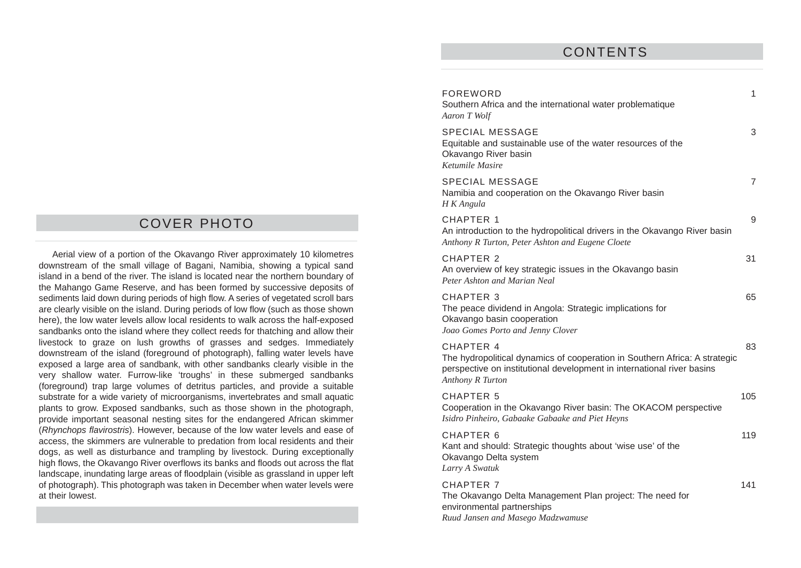### COVER PHOTO

Aerial view of a portion of the Okavango River approximately 10 kilometres downstream of the small village of Bagani, Namibia, showing a typical sand island in a bend of the river. The island is located near the northern boundary of the Mahango Game Reserve, and has been formed by successive deposits of sediments laid down during periods of high flow. A series of vegetated scroll bars are clearly visible on the island. During periods of low flow (such as those shown here), the low water levels allow local residents to walk across the half-exposed sandbanks onto the island where they collect reeds for thatching and allow their livestock to graze on lush growths of grasses and sedges. Immediately downstream of the island (foreground of photograph), falling water levels have exposed a large area of sandbank, with other sandbanks clearly visible in the very shallow water. Furrow-like 'troughs' in these submerged sandbanks (foreground) trap large volumes of detritus particles, and provide a suitable substrate for a wide variety of microorganisms, invertebrates and small aquatic plants to grow. Exposed sandbanks, such as those shown in the photograph, provide important seasonal nesting sites for the endangered African skimmer (Rhynchops flavirostris). However, because of the low water levels and ease of access, the skimmers are vulnerable to predation from local residents and their dogs, as well as disturbance and trampling by livestock. During exceptionally high flows, the Okavango River overflows its banks and floods out across the flat landscape, inundating large areas of floodplain (visible as grassland in upper left of photograph). This photograph was taken in December when water levels were at their lowest.

#### CONTENTS

| <b>FOREWORD</b><br>Southern Africa and the international water problematique<br>Aaron T Wolf                                                                                          | $\mathbf{1}$ |
|---------------------------------------------------------------------------------------------------------------------------------------------------------------------------------------|--------------|
| <b>SPECIAL MESSAGE</b><br>Equitable and sustainable use of the water resources of the<br>Okavango River basin<br>Ketumile Masire                                                      | 3            |
| <b>SPECIAL MESSAGE</b><br>Namibia and cooperation on the Okavango River basin<br>H K Angula                                                                                           | 7            |
| <b>CHAPTER 1</b><br>An introduction to the hydropolitical drivers in the Okavango River basin<br>Anthony R Turton, Peter Ashton and Eugene Cloete                                     | 9            |
| <b>CHAPTER 2</b><br>An overview of key strategic issues in the Okavango basin<br>Peter Ashton and Marian Neal                                                                         | 31           |
| <b>CHAPTER 3</b><br>The peace dividend in Angola: Strategic implications for<br>Okavango basin cooperation<br>Joao Gomes Porto and Jenny Clover                                       | 65           |
| CHAPTER 4<br>The hydropolitical dynamics of cooperation in Southern Africa: A strategic<br>perspective on institutional development in international river basins<br>Anthony R Turton | 83           |
| <b>CHAPTER 5</b><br>Cooperation in the Okavango River basin: The OKACOM perspective<br>Isidro Pinheiro, Gabaake Gabaake and Piet Heyns                                                | 105          |
| CHAPTER 6<br>Kant and should: Strategic thoughts about 'wise use' of the<br>Okavango Delta system<br>Larry A Swatuk                                                                   | 119          |
| <b>CHAPTER 7</b><br>The Okavango Delta Management Plan project: The need for<br>environmental partnerships                                                                            | 141          |

*Ruud Jansen and Masego Madzwamuse*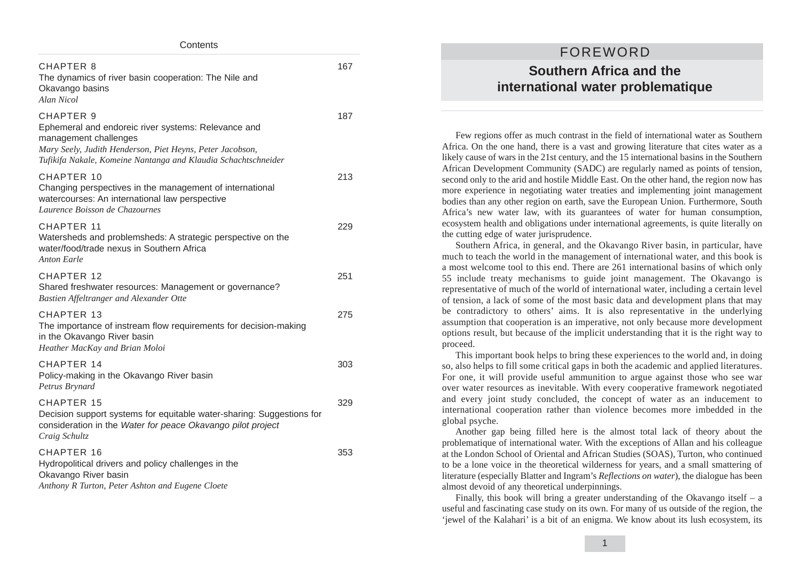| Contents                                                                                                                                                                                                                        |     |  |
|---------------------------------------------------------------------------------------------------------------------------------------------------------------------------------------------------------------------------------|-----|--|
| CHAPTER 8<br>The dynamics of river basin cooperation: The Nile and<br>Okavango basins<br>Alan Nicol                                                                                                                             | 167 |  |
| <b>CHAPTER 9</b><br>Ephemeral and endoreic river systems: Relevance and<br>management challenges<br>Mary Seely, Judith Henderson, Piet Heyns, Peter Jacobson,<br>Tufikifa Nakale, Komeine Nantanga and Klaudia Schachtschneider | 187 |  |
| CHAPTER 10<br>Changing perspectives in the management of international<br>watercourses: An international law perspective<br>Laurence Boisson de Chazournes                                                                      | 213 |  |
| CHAPTER 11<br>Watersheds and problemsheds: A strategic perspective on the<br>water/food/trade nexus in Southern Africa<br>Anton Earle                                                                                           | 229 |  |
| CHAPTER 12<br>Shared freshwater resources: Management or governance?<br>Bastien Affeltranger and Alexander Otte                                                                                                                 | 251 |  |
| CHAPTER 13<br>The importance of instream flow requirements for decision-making<br>in the Okavango River basin<br>Heather MacKay and Brian Moloi                                                                                 | 275 |  |
| CHAPTER 14<br>Policy-making in the Okavango River basin<br>Petrus Brynard                                                                                                                                                       | 303 |  |
| CHAPTER 15<br>Decision support systems for equitable water-sharing: Suggestions for<br>consideration in the Water for peace Okavango pilot project<br>Craig Schultz                                                             | 329 |  |
| CHAPTER 16<br>Hydropolitical drivers and policy challenges in the<br>Okavango River basin<br>Anthony R Turton, Peter Ashton and Eugene Cloete                                                                                   | 353 |  |

### FOREWORD **Southern Africa and the international water problematique**

Few regions offer as much contrast in the field of international water as Southern Africa. On the one hand, there is a vast and growing literature that cites water as a likely cause of wars in the 21st century, and the 15 international basins in the Southern African Development Community (SADC) are regularly named as points of tension, second only to the arid and hostile Middle East. On the other hand, the region now has more experience in negotiating water treaties and implementing joint management bodies than any other region on earth, save the European Union. Furthermore, South Africa's new water law, with its guarantees of water for human consumption, ecosystem health and obligations under international agreements, is quite literally on the cutting edge of water jurisprudence.

Southern Africa, in general, and the Okavango River basin, in particular, have much to teach the world in the management of international water, and this book is a most welcome tool to this end. There are 261 international basins of which only 55 include treaty mechanisms to guide joint management. The Okavango is representative of much of the world of international water, including a certain level of tension, a lack of some of the most basic data and development plans that may be contradictory to others' aims. It is also representative in the underlying assumption that cooperation is an imperative, not only because more development options result, but because of the implicit understanding that it is the right way to proceed.

This important book helps to bring these experiences to the world and, in doing so, also helps to fill some critical gaps in both the academic and applied literatures. For one, it will provide useful ammunition to argue against those who see war over water resources as inevitable. With every cooperative framework negotiated and every joint study concluded, the concept of water as an inducement to international cooperation rather than violence becomes more imbedded in the global psyche.

Another gap being filled here is the almost total lack of theory about the problematique of international water. With the exceptions of Allan and his colleague at the London School of Oriental and African Studies (SOAS), Turton, who continued to be a lone voice in the theoretical wilderness for years, and a small smattering of literature (especially Blatter and Ingram's *Reflections on water*), the dialogue has been almost devoid of any theoretical underpinnings.

Finally, this book will bring a greater understanding of the Okavango itself  $-$  a useful and fascinating case study on its own. For many of us outside of the region, the 'jewel of the Kalahari' is a bit of an enigma. We know about its lush ecosystem, its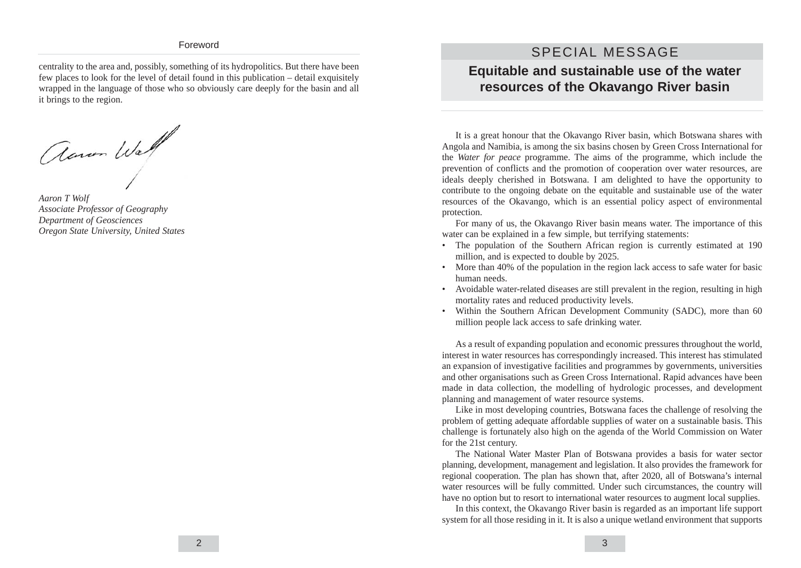#### Foreword

centrality to the area and, possibly, something of its hydropolitics. But there have been few places to look for the level of detail found in this publication – detail exquisitely wrapped in the language of those who so obviously care deeply for the basin and all it brings to the region.

Aaron Wall

*Aaron T Wolf Associate Professor of Geography Department of Geosciences Oregon State University, United States*

### SPECIAL MESSAGE

#### **Equitable and sustainable use of the water resources of the Okavango River basin**

It is a great honour that the Okavango River basin, which Botswana shares with Angola and Namibia, is among the six basins chosen by Green Cross International for the *Water for peace* programme. The aims of the programme, which include the prevention of conflicts and the promotion of cooperation over water resources, are ideals deeply cherished in Botswana. I am delighted to have the opportunity to contribute to the ongoing debate on the equitable and sustainable use of the water resources of the Okavango, which is an essential policy aspect of environmental protection.

For many of us, the Okavango River basin means water. The importance of this water can be explained in a few simple, but terrifying statements:

- The population of the Southern African region is currently estimated at 190 million, and is expected to double by 2025.
- More than 40% of the population in the region lack access to safe water for basic human needs.
- Avoidable water-related diseases are still prevalent in the region, resulting in high mortality rates and reduced productivity levels.
- Within the Southern African Development Community (SADC), more than 60 million people lack access to safe drinking water.

As a result of expanding population and economic pressures throughout the world, interest in water resources has correspondingly increased. This interest has stimulated an expansion of investigative facilities and programmes by governments, universities and other organisations such as Green Cross International. Rapid advances have been made in data collection, the modelling of hydrologic processes, and development planning and management of water resource systems.

Like in most developing countries, Botswana faces the challenge of resolving the problem of getting adequate affordable supplies of water on a sustainable basis. This challenge is fortunately also high on the agenda of the World Commission on Water for the 21st century.

The National Water Master Plan of Botswana provides a basis for water sector planning, development, management and legislation. It also provides the framework for regional cooperation. The plan has shown that, after 2020, all of Botswana's internal water resources will be fully committed. Under such circumstances, the country will have no option but to resort to international water resources to augment local supplies.

In this context, the Okavango River basin is regarded as an important life support system for all those residing in it. It is also a unique wetland environment that supports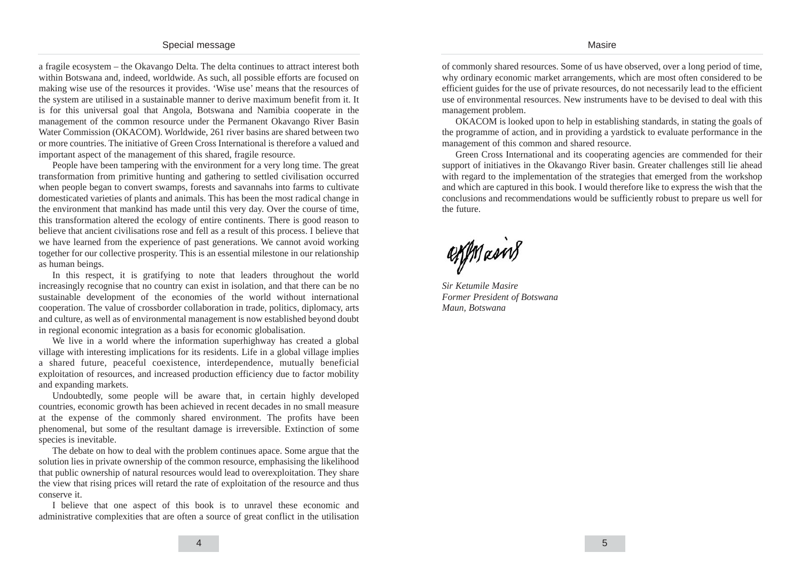a fragile ecosystem – the Okavango Delta. The delta continues to attract interest both within Botswana and, indeed, worldwide. As such, all possible efforts are focused on making wise use of the resources it provides. 'Wise use' means that the resources of the system are utilised in a sustainable manner to derive maximum benefit from it. It is for this universal goal that Angola, Botswana and Namibia cooperate in the management of the common resource under the Permanent Okavango River Basin Water Commission (OKACOM). Worldwide, 261 river basins are shared between two or more countries. The initiative of Green Cross International is therefore a valued and important aspect of the management of this shared, fragile resource.

People have been tampering with the environment for a very long time. The great transformation from primitive hunting and gathering to settled civilisation occurred when people began to convert swamps, forests and savannahs into farms to cultivate domesticated varieties of plants and animals. This has been the most radical change in the environment that mankind has made until this very day. Over the course of time, this transformation altered the ecology of entire continents. There is good reason to believe that ancient civilisations rose and fell as a result of this process. I believe that we have learned from the experience of past generations. We cannot avoid working together for our collective prosperity. This is an essential milestone in our relationship as human beings.

In this respect, it is gratifying to note that leaders throughout the world increasingly recognise that no country can exist in isolation, and that there can be no sustainable development of the economies of the world without international cooperation. The value of crossborder collaboration in trade, politics, diplomacy, arts and culture, as well as of environmental management is now established beyond doubt in regional economic integration as a basis for economic globalisation.

We live in a world where the information superhighway has created a global village with interesting implications for its residents. Life in a global village implies a shared future, peaceful coexistence, interdependence, mutually beneficial exploitation of resources, and increased production efficiency due to factor mobility and expanding markets.

Undoubtedly, some people will be aware that, in certain highly developed countries, economic growth has been achieved in recent decades in no small measure at the expense of the commonly shared environment. The profits have been phenomenal, but some of the resultant damage is irreversible. Extinction of some species is inevitable.

The debate on how to deal with the problem continues apace. Some argue that the solution lies in private ownership of the common resource, emphasising the likelihood that public ownership of natural resources would lead to overexploitation. They share the view that rising prices will retard the rate of exploitation of the resource and thus conserve it.

I believe that one aspect of this book is to unravel these economic and administrative complexities that are often a source of great conflict in the utilisation of commonly shared resources. Some of us have observed, over a long period of time, why ordinary economic market arrangements, which are most often considered to be efficient guides for the use of private resources, do not necessarily lead to the efficient use of environmental resources. New instruments have to be devised to deal with this management problem.

OKACOM is looked upon to help in establishing standards, in stating the goals of the programme of action, and in providing a yardstick to evaluate performance in the management of this common and shared resource.

Green Cross International and its cooperating agencies are commended for their support of initiatives in the Okavango River basin. Greater challenges still lie ahead with regard to the implementation of the strategies that emerged from the workshop and which are captured in this book. I would therefore like to express the wish that the conclusions and recommendations would be sufficiently robust to prepare us well for the future.

egymain8

*Sir Ketumile Masire Former President of Botswana Maun, Botswana*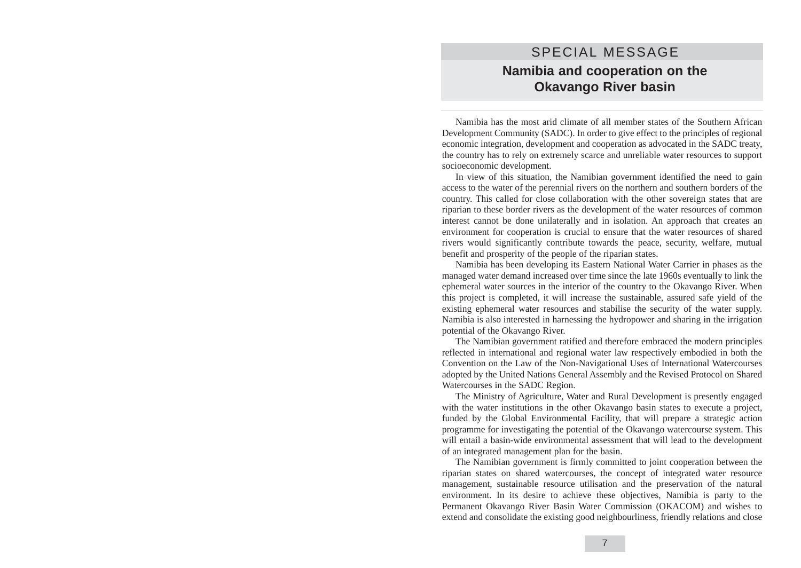## SPECIAL MESSAGE **Namibia and cooperation on the Okavango River basin**

Namibia has the most arid climate of all member states of the Southern African Development Community (SADC). In order to give effect to the principles of regional economic integration, development and cooperation as advocated in the SADC treaty, the country has to rely on extremely scarce and unreliable water resources to support socioeconomic development.

In view of this situation, the Namibian government identified the need to gain access to the water of the perennial rivers on the northern and southern borders of the country. This called for close collaboration with the other sovereign states that are riparian to these border rivers as the development of the water resources of common interest cannot be done unilaterally and in isolation. An approach that creates an environment for cooperation is crucial to ensure that the water resources of shared rivers would significantly contribute towards the peace, security, welfare, mutual benefit and prosperity of the people of the riparian states.

Namibia has been developing its Eastern National Water Carrier in phases as the managed water demand increased over time since the late 1960s eventually to link the ephemeral water sources in the interior of the country to the Okavango River. When this project is completed, it will increase the sustainable, assured safe yield of the existing ephemeral water resources and stabilise the security of the water supply. Namibia is also interested in harnessing the hydropower and sharing in the irrigation potential of the Okavango River.

The Namibian government ratified and therefore embraced the modern principles reflected in international and regional water law respectively embodied in both the Convention on the Law of the Non-Navigational Uses of International Watercourses adopted by the United Nations General Assembly and the Revised Protocol on Shared Watercourses in the SADC Region.

The Ministry of Agriculture, Water and Rural Development is presently engaged with the water institutions in the other Okavango basin states to execute a project, funded by the Global Environmental Facility, that will prepare a strategic action programme for investigating the potential of the Okavango watercourse system. This will entail a basin-wide environmental assessment that will lead to the development of an integrated management plan for the basin.

The Namibian government is firmly committed to joint cooperation between the riparian states on shared watercourses, the concept of integrated water resource management, sustainable resource utilisation and the preservation of the natural environment. In its desire to achieve these objectives, Namibia is party to the Permanent Okavango River Basin Water Commission (OKACOM) and wishes to extend and consolidate the existing good neighbourliness, friendly relations and close